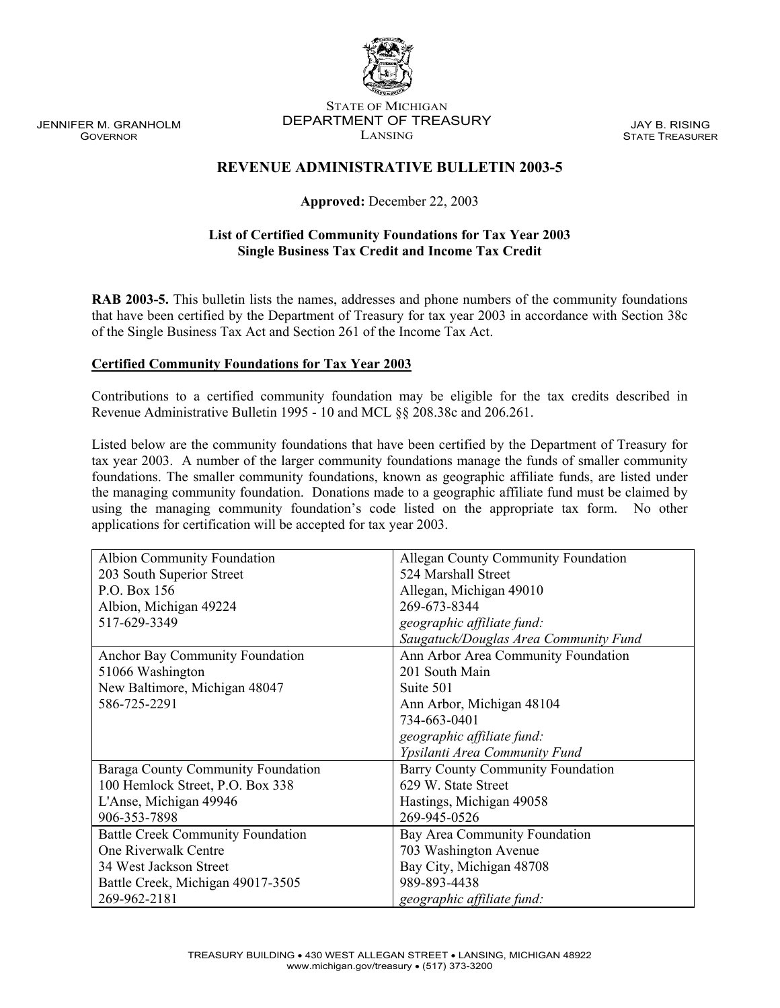JENNIFER M. GRANHOLM GOVERNOR

#### STATE OF MICHIGAN DEPARTMENT OF TREASURY LANSING

JAY B. RISING STATE TREASURER

# **REVENUE ADMINISTRATIVE BULLETIN 2003-5**

## **Approved:** December 22, 2003

## **List of Certified Community Foundations for Tax Year 2003 Single Business Tax Credit and Income Tax Credit**

**RAB 2003-5.** This bulletin lists the names, addresses and phone numbers of the community foundations that have been certified by the Department of Treasury for tax year 2003 in accordance with Section 38c of the Single Business Tax Act and Section 261 of the Income Tax Act.

## **Certified Community Foundations for Tax Year 2003**

Contributions to a certified community foundation may be eligible for the tax credits described in Revenue Administrative Bulletin 1995 - 10 and MCL §§ 208.38c and 206.261.

Listed below are the community foundations that have been certified by the Department of Treasury for tax year 2003. A number of the larger community foundations manage the funds of smaller community foundations. The smaller community foundations, known as geographic affiliate funds, are listed under the managing community foundation. Donations made to a geographic affiliate fund must be claimed by using the managing community foundation's code listed on the appropriate tax form. No other applications for certification will be accepted for tax year 2003.

| Albion Community Foundation              | <b>Allegan County Community Foundation</b> |
|------------------------------------------|--------------------------------------------|
| 203 South Superior Street                | 524 Marshall Street                        |
| P.O. Box 156                             | Allegan, Michigan 49010                    |
| Albion, Michigan 49224                   | 269-673-8344                               |
| 517-629-3349                             | geographic affiliate fund:                 |
|                                          | Saugatuck/Douglas Area Community Fund      |
| Anchor Bay Community Foundation          | Ann Arbor Area Community Foundation        |
| 51066 Washington                         | 201 South Main                             |
| New Baltimore, Michigan 48047            | Suite 501                                  |
| 586-725-2291                             | Ann Arbor, Michigan 48104                  |
|                                          | 734-663-0401                               |
|                                          | geographic affiliate fund:                 |
|                                          | Ypsilanti Area Community Fund              |
| Baraga County Community Foundation       | <b>Barry County Community Foundation</b>   |
| 100 Hemlock Street, P.O. Box 338         | 629 W. State Street                        |
| L'Anse, Michigan 49946                   | Hastings, Michigan 49058                   |
| 906-353-7898                             | 269-945-0526                               |
| <b>Battle Creek Community Foundation</b> | Bay Area Community Foundation              |
| One Riverwalk Centre                     | 703 Washington Avenue                      |
| 34 West Jackson Street                   | Bay City, Michigan 48708                   |
| Battle Creek, Michigan 49017-3505        | 989-893-4438                               |
| 269-962-2181                             | geographic affiliate fund:                 |

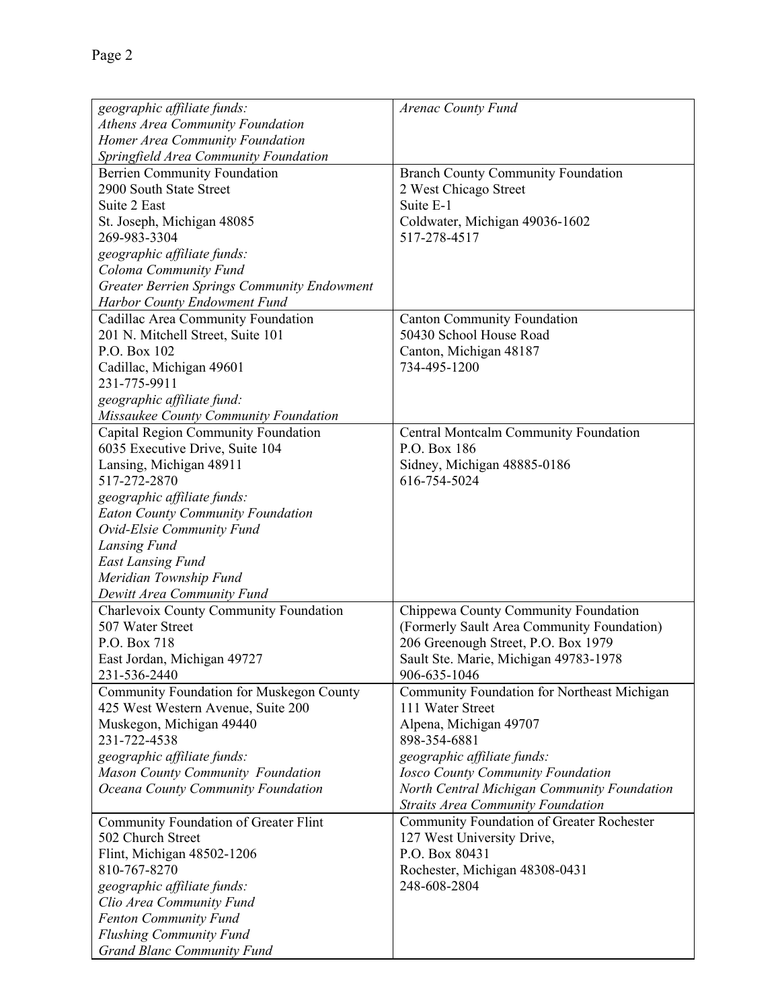| geographic affiliate funds:                                    | Arenac County Fund                          |
|----------------------------------------------------------------|---------------------------------------------|
| Athens Area Community Foundation                               |                                             |
| Homer Area Community Foundation                                |                                             |
| Springfield Area Community Foundation                          |                                             |
|                                                                | <b>Branch County Community Foundation</b>   |
| <b>Berrien Community Foundation</b><br>2900 South State Street |                                             |
|                                                                | 2 West Chicago Street                       |
| Suite 2 East                                                   | Suite E-1                                   |
| St. Joseph, Michigan 48085                                     | Coldwater, Michigan 49036-1602              |
| 269-983-3304                                                   | 517-278-4517                                |
| geographic affiliate funds:                                    |                                             |
| Coloma Community Fund                                          |                                             |
| <b>Greater Berrien Springs Community Endowment</b>             |                                             |
| Harbor County Endowment Fund                                   |                                             |
| Cadillac Area Community Foundation                             | <b>Canton Community Foundation</b>          |
| 201 N. Mitchell Street, Suite 101                              | 50430 School House Road                     |
| P.O. Box 102                                                   | Canton, Michigan 48187                      |
| Cadillac, Michigan 49601                                       | 734-495-1200                                |
| 231-775-9911                                                   |                                             |
| geographic affiliate fund:                                     |                                             |
| Missaukee County Community Foundation                          |                                             |
| Capital Region Community Foundation                            | Central Montcalm Community Foundation       |
| 6035 Executive Drive, Suite 104                                | P.O. Box 186                                |
| Lansing, Michigan 48911                                        | Sidney, Michigan 48885-0186                 |
| 517-272-2870                                                   | 616-754-5024                                |
| geographic affiliate funds:                                    |                                             |
| <b>Eaton County Community Foundation</b>                       |                                             |
| Ovid-Elsie Community Fund                                      |                                             |
|                                                                |                                             |
| Lansing Fund                                                   |                                             |
| <b>East Lansing Fund</b>                                       |                                             |
| Meridian Township Fund                                         |                                             |
| Dewitt Area Community Fund                                     |                                             |
| Charlevoix County Community Foundation                         | Chippewa County Community Foundation        |
| 507 Water Street                                               | (Formerly Sault Area Community Foundation)  |
| P.O. Box 718                                                   | 206 Greenough Street, P.O. Box 1979         |
| East Jordan, Michigan 49727                                    | Sault Ste. Marie, Michigan 49783-1978       |
| 231-536-2440                                                   | 906-635-1046                                |
| Community Foundation for Muskegon County                       | Community Foundation for Northeast Michigan |
| 425 West Western Avenue, Suite 200                             | 111 Water Street                            |
| Muskegon, Michigan 49440                                       | Alpena, Michigan 49707                      |
| 231-722-4538                                                   | 898-354-6881                                |
| geographic affiliate funds:                                    | geographic affiliate funds:                 |
| Mason County Community Foundation                              | <b>Iosco County Community Foundation</b>    |
| Oceana County Community Foundation                             | North Central Michigan Community Foundation |
|                                                                | <b>Straits Area Community Foundation</b>    |
| Community Foundation of Greater Flint                          | Community Foundation of Greater Rochester   |
| 502 Church Street                                              | 127 West University Drive,                  |
| Flint, Michigan 48502-1206                                     | P.O. Box 80431                              |
| 810-767-8270                                                   | Rochester, Michigan 48308-0431              |
| geographic affiliate funds:                                    | 248-608-2804                                |
| Clio Area Community Fund                                       |                                             |
|                                                                |                                             |
| <b>Fenton Community Fund</b>                                   |                                             |
| <b>Flushing Community Fund</b>                                 |                                             |
| <b>Grand Blanc Community Fund</b>                              |                                             |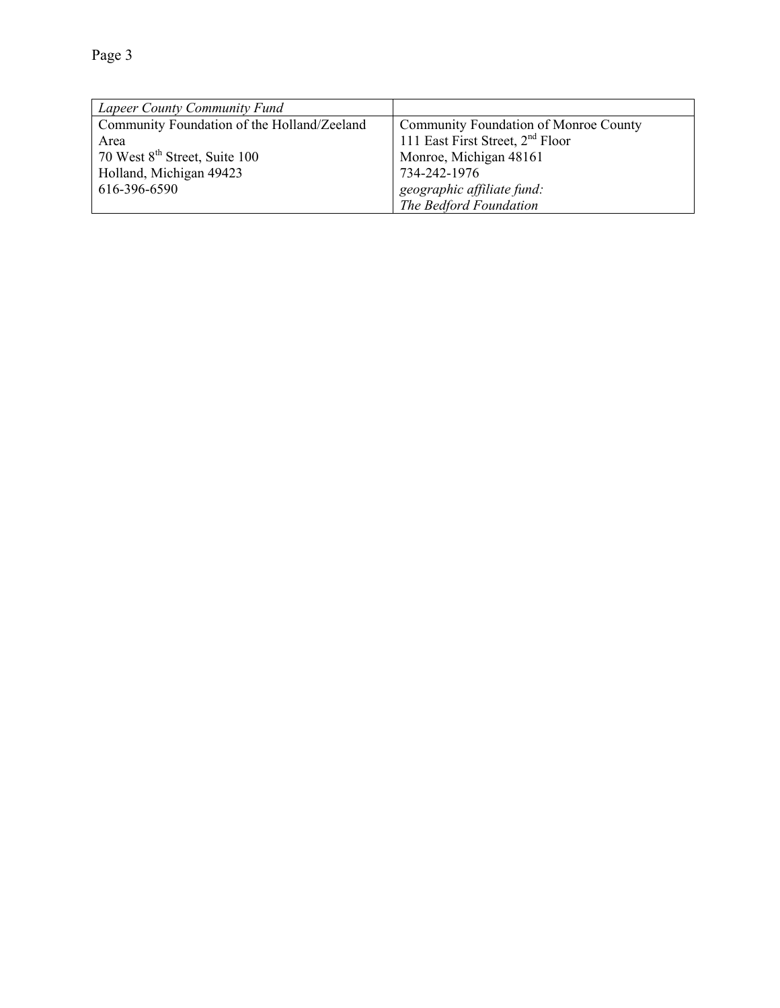| Lapeer County Community Fund                |                                              |
|---------------------------------------------|----------------------------------------------|
| Community Foundation of the Holland/Zeeland | Community Foundation of Monroe County        |
| Area                                        | 111 East First Street, 2 <sup>nd</sup> Floor |
| 70 West 8 <sup>th</sup> Street, Suite 100   | Monroe, Michigan 48161                       |
| Holland, Michigan 49423                     | 734-242-1976                                 |
| 616-396-6590                                | geographic affiliate fund:                   |
|                                             | The Bedford Foundation                       |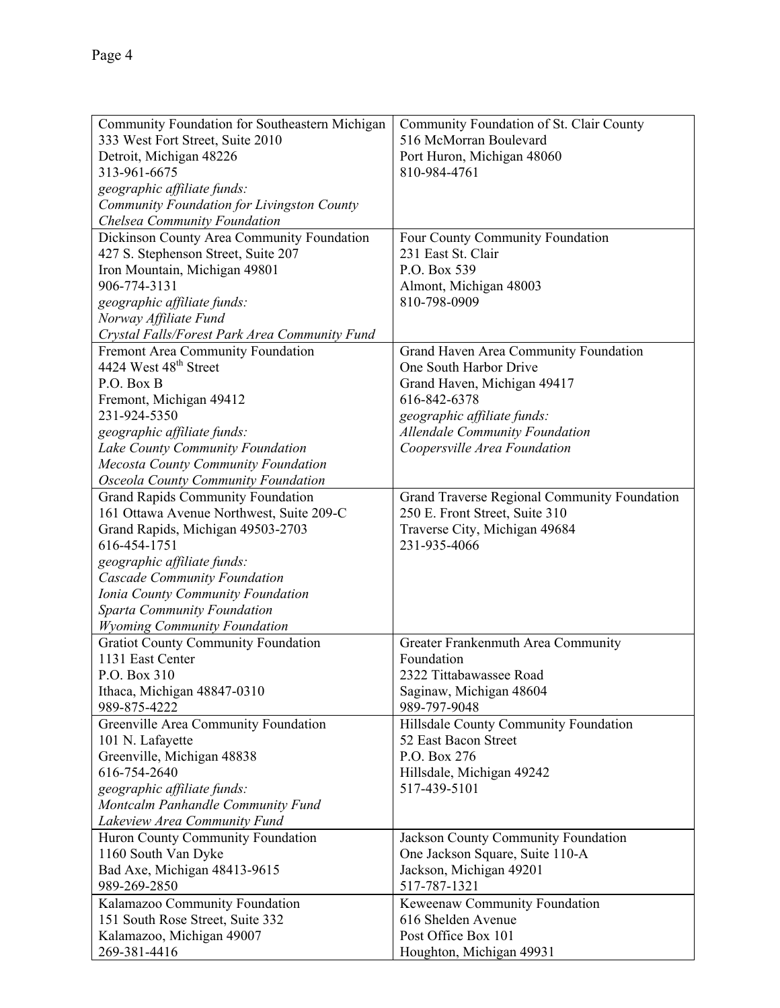| Community Foundation for Southeastern Michigan                                    | Community Foundation of St. Clair County                        |
|-----------------------------------------------------------------------------------|-----------------------------------------------------------------|
| 333 West Fort Street, Suite 2010                                                  | 516 McMorran Boulevard                                          |
| Detroit, Michigan 48226                                                           | Port Huron, Michigan 48060                                      |
| 313-961-6675                                                                      | 810-984-4761                                                    |
| geographic affiliate funds:                                                       |                                                                 |
| Community Foundation for Livingston County                                        |                                                                 |
| Chelsea Community Foundation                                                      |                                                                 |
|                                                                                   |                                                                 |
| Dickinson County Area Community Foundation<br>427 S. Stephenson Street, Suite 207 | Four County Community Foundation<br>231 East St. Clair          |
|                                                                                   | P.O. Box 539                                                    |
| Iron Mountain, Michigan 49801<br>906-774-3131                                     |                                                                 |
|                                                                                   | Almont, Michigan 48003<br>810-798-0909                          |
| geographic affiliate funds:                                                       |                                                                 |
| Norway Affiliate Fund<br>Crystal Falls/Forest Park Area Community Fund            |                                                                 |
|                                                                                   |                                                                 |
| Fremont Area Community Foundation<br>4424 West 48 <sup>th</sup> Street            | Grand Haven Area Community Foundation<br>One South Harbor Drive |
| P.O. Box B                                                                        |                                                                 |
|                                                                                   | Grand Haven, Michigan 49417<br>616-842-6378                     |
| Fremont, Michigan 49412<br>231-924-5350                                           |                                                                 |
|                                                                                   | geographic affiliate funds:                                     |
| geographic affiliate funds:                                                       | <b>Allendale Community Foundation</b>                           |
| Lake County Community Foundation                                                  | Coopersville Area Foundation                                    |
| Mecosta County Community Foundation                                               |                                                                 |
| <b>Osceola County Community Foundation</b>                                        |                                                                 |
| <b>Grand Rapids Community Foundation</b>                                          | Grand Traverse Regional Community Foundation                    |
| 161 Ottawa Avenue Northwest, Suite 209-C                                          | 250 E. Front Street, Suite 310                                  |
| Grand Rapids, Michigan 49503-2703                                                 | Traverse City, Michigan 49684                                   |
| 616-454-1751                                                                      | 231-935-4066                                                    |
| geographic affiliate funds:                                                       |                                                                 |
| <b>Cascade Community Foundation</b>                                               |                                                                 |
| Ionia County Community Foundation                                                 |                                                                 |
| <b>Sparta Community Foundation</b>                                                |                                                                 |
| <b>Wyoming Community Foundation</b>                                               |                                                                 |
| <b>Gratiot County Community Foundation</b>                                        | Greater Frankenmuth Area Community                              |
| 1131 East Center                                                                  | Foundation                                                      |
| P.O. Box 310                                                                      | 2322 Tittabawassee Road                                         |
| Ithaca, Michigan 48847-0310                                                       | Saginaw, Michigan 48604                                         |
| 989-875-4222                                                                      | 989-797-9048                                                    |
| Greenville Area Community Foundation                                              | Hillsdale County Community Foundation                           |
| 101 N. Lafayette                                                                  | 52 East Bacon Street                                            |
| Greenville, Michigan 48838                                                        | P.O. Box 276                                                    |
| 616-754-2640                                                                      | Hillsdale, Michigan 49242                                       |
| geographic affiliate funds:                                                       | 517-439-5101                                                    |
| Montcalm Panhandle Community Fund                                                 |                                                                 |
| Lakeview Area Community Fund                                                      |                                                                 |
| Huron County Community Foundation                                                 | Jackson County Community Foundation                             |
| 1160 South Van Dyke                                                               | One Jackson Square, Suite 110-A                                 |
| Bad Axe, Michigan 48413-9615                                                      | Jackson, Michigan 49201                                         |
| 989-269-2850                                                                      | 517-787-1321                                                    |
| Kalamazoo Community Foundation                                                    | Keweenaw Community Foundation                                   |
| 151 South Rose Street, Suite 332                                                  | 616 Shelden Avenue                                              |
| Kalamazoo, Michigan 49007                                                         | Post Office Box 101                                             |
| 269-381-4416                                                                      | Houghton, Michigan 49931                                        |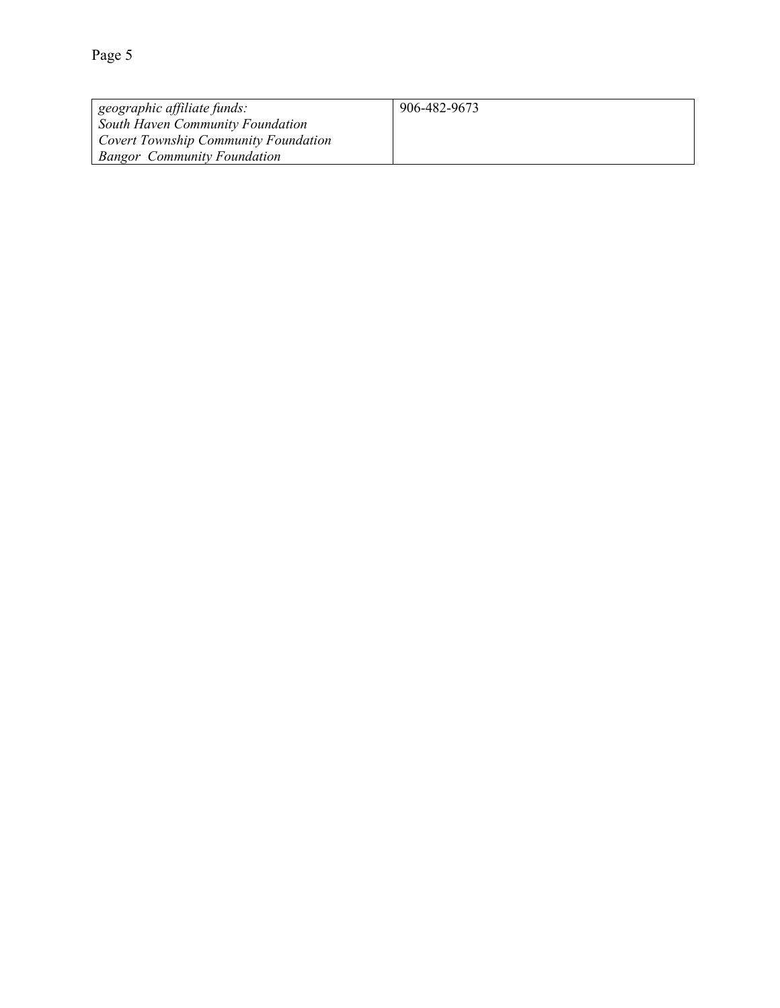| geographic affiliate funds:                 | 906-482-9673 |
|---------------------------------------------|--------------|
| South Haven Community Foundation            |              |
| <b>Covert Township Community Foundation</b> |              |
| <b>Bangor</b> Community Foundation          |              |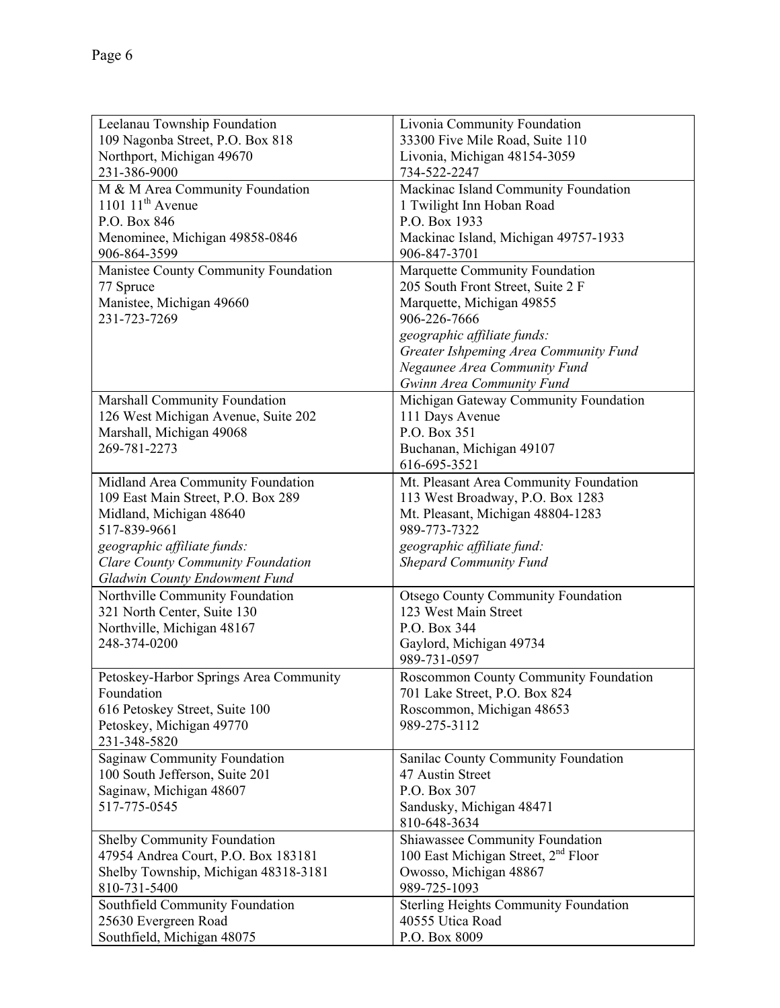| Leelanau Township Foundation                                            | Livonia Community Foundation                                        |
|-------------------------------------------------------------------------|---------------------------------------------------------------------|
| 109 Nagonba Street, P.O. Box 818                                        | 33300 Five Mile Road, Suite 110                                     |
| Northport, Michigan 49670                                               | Livonia, Michigan 48154-3059                                        |
| 231-386-9000                                                            | 734-522-2247                                                        |
| M & M Area Community Foundation                                         | Mackinac Island Community Foundation                                |
| 1101 $11th$ Avenue                                                      | 1 Twilight Inn Hoban Road                                           |
| P.O. Box 846                                                            | P.O. Box 1933                                                       |
| Menominee, Michigan 49858-0846<br>906-864-3599                          | Mackinac Island, Michigan 49757-1933<br>906-847-3701                |
|                                                                         |                                                                     |
| Manistee County Community Foundation<br>77 Spruce                       | Marquette Community Foundation<br>205 South Front Street, Suite 2 F |
| Manistee, Michigan 49660                                                | Marquette, Michigan 49855                                           |
| 231-723-7269                                                            | 906-226-7666                                                        |
|                                                                         | geographic affiliate funds:                                         |
|                                                                         | Greater Ishpeming Area Community Fund                               |
|                                                                         | Negaunee Area Community Fund                                        |
|                                                                         | Gwinn Area Community Fund                                           |
| Marshall Community Foundation                                           | Michigan Gateway Community Foundation                               |
| 126 West Michigan Avenue, Suite 202                                     | 111 Days Avenue                                                     |
| Marshall, Michigan 49068                                                | P.O. Box 351                                                        |
| 269-781-2273                                                            | Buchanan, Michigan 49107                                            |
|                                                                         | 616-695-3521                                                        |
| Midland Area Community Foundation                                       | Mt. Pleasant Area Community Foundation                              |
| 109 East Main Street, P.O. Box 289                                      | 113 West Broadway, P.O. Box 1283                                    |
| Midland, Michigan 48640                                                 | Mt. Pleasant, Michigan 48804-1283                                   |
| 517-839-9661                                                            | 989-773-7322                                                        |
| geographic affiliate funds:                                             | geographic affiliate fund:                                          |
| Clare County Community Foundation                                       | <b>Shepard Community Fund</b>                                       |
| <b>Gladwin County Endowment Fund</b><br>Northville Community Foundation | <b>Otsego County Community Foundation</b>                           |
| 321 North Center, Suite 130                                             | 123 West Main Street                                                |
| Northville, Michigan 48167                                              | P.O. Box 344                                                        |
| 248-374-0200                                                            | Gaylord, Michigan 49734                                             |
|                                                                         | 989-731-0597                                                        |
| Petoskey-Harbor Springs Area Community                                  | Roscommon County Community Foundation                               |
| Foundation                                                              | 701 Lake Street, P.O. Box 824                                       |
| 616 Petoskey Street, Suite 100                                          | Roscommon, Michigan 48653                                           |
| Petoskey, Michigan 49770                                                | 989-275-3112                                                        |
| 231-348-5820                                                            |                                                                     |
| Saginaw Community Foundation                                            | Sanilac County Community Foundation                                 |
| 100 South Jefferson, Suite 201                                          | 47 Austin Street                                                    |
| Saginaw, Michigan 48607                                                 | P.O. Box 307                                                        |
| 517-775-0545                                                            | Sandusky, Michigan 48471                                            |
|                                                                         | 810-648-3634                                                        |
| Shelby Community Foundation                                             | Shiawassee Community Foundation                                     |
| 47954 Andrea Court, P.O. Box 183181                                     | 100 East Michigan Street, 2 <sup>nd</sup> Floor                     |
| Shelby Township, Michigan 48318-3181                                    | Owosso, Michigan 48867                                              |
| 810-731-5400                                                            | 989-725-1093                                                        |
| Southfield Community Foundation                                         | <b>Sterling Heights Community Foundation</b>                        |
| 25630 Evergreen Road                                                    | 40555 Utica Road                                                    |
| Southfield, Michigan 48075                                              | P.O. Box 8009                                                       |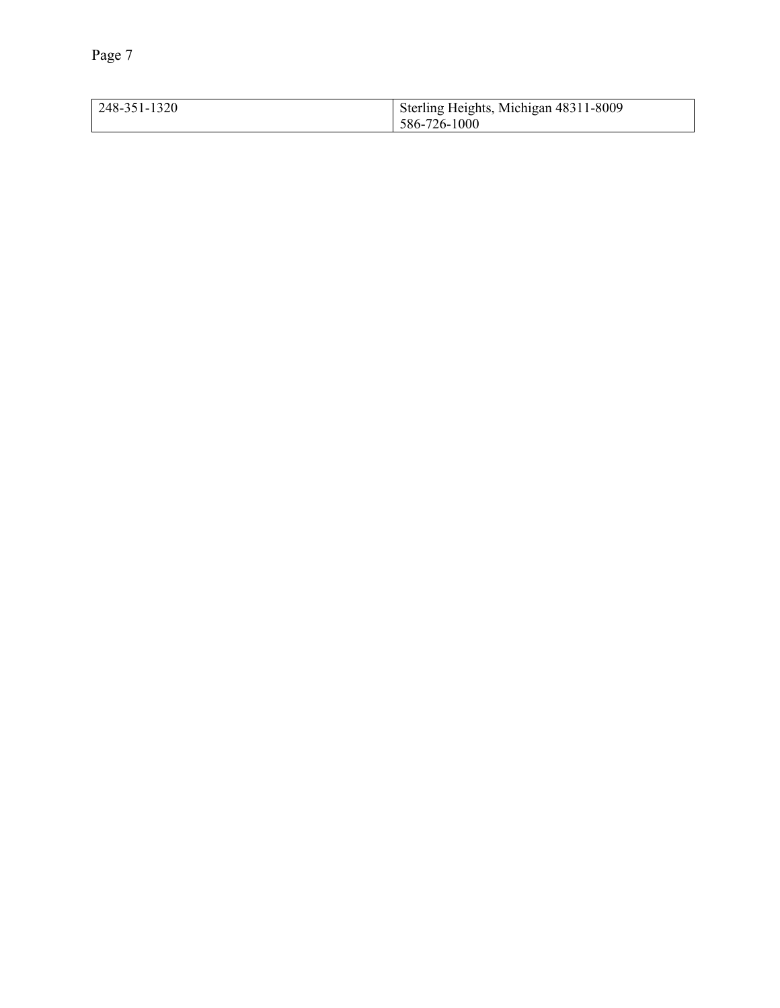| 248-351-1320 | Sterling Heights, Michigan 48311-8009 |
|--------------|---------------------------------------|
|              | 586-726-1000                          |